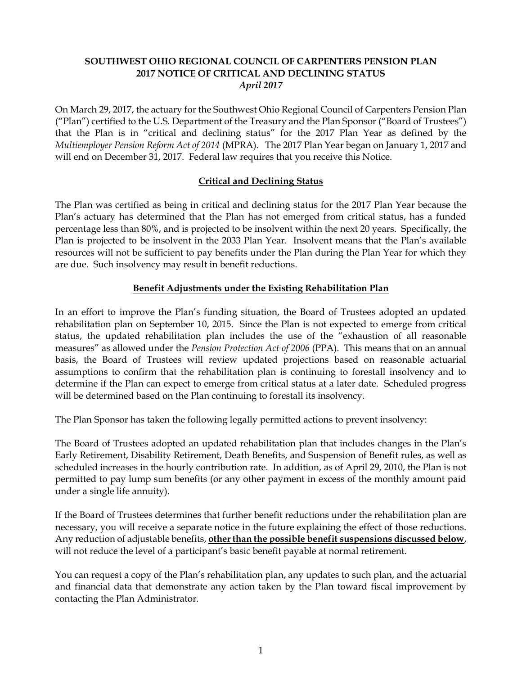## **SOUTHWEST OHIO REGIONAL COUNCIL OF CARPENTERS PENSION PLAN 2017 NOTICE OF CRITICAL AND DECLINING STATUS** *April 2017*

On March 29, 2017, the actuary for the Southwest Ohio Regional Council of Carpenters Pension Plan ("Plan") certified to the U.S. Department of the Treasury and the Plan Sponsor ("Board of Trustees") that the Plan is in "critical and declining status" for the 2017 Plan Year as defined by the *Multiemployer Pension Reform Act of 2014* (MPRA). The 2017 Plan Year began on January 1, 2017 and will end on December 31, 2017. Federal law requires that you receive this Notice.

# **Critical and Declining Status**

The Plan was certified as being in critical and declining status for the 2017 Plan Year because the Plan's actuary has determined that the Plan has not emerged from critical status, has a funded percentage less than 80%, and is projected to be insolvent within the next 20 years. Specifically, the Plan is projected to be insolvent in the 2033 Plan Year. Insolvent means that the Plan's available resources will not be sufficient to pay benefits under the Plan during the Plan Year for which they are due. Such insolvency may result in benefit reductions.

# **Benefit Adjustments under the Existing Rehabilitation Plan**

In an effort to improve the Plan's funding situation, the Board of Trustees adopted an updated rehabilitation plan on September 10, 2015. Since the Plan is not expected to emerge from critical status, the updated rehabilitation plan includes the use of the "exhaustion of all reasonable measures" as allowed under the *Pension Protection Act of 2006* (PPA). This means that on an annual basis, the Board of Trustees will review updated projections based on reasonable actuarial assumptions to confirm that the rehabilitation plan is continuing to forestall insolvency and to determine if the Plan can expect to emerge from critical status at a later date. Scheduled progress will be determined based on the Plan continuing to forestall its insolvency.

The Plan Sponsor has taken the following legally permitted actions to prevent insolvency:

The Board of Trustees adopted an updated rehabilitation plan that includes changes in the Plan's Early Retirement, Disability Retirement, Death Benefits, and Suspension of Benefit rules, as well as scheduled increases in the hourly contribution rate. In addition, as of April 29, 2010, the Plan is not permitted to pay lump sum benefits (or any other payment in excess of the monthly amount paid under a single life annuity).

If the Board of Trustees determines that further benefit reductions under the rehabilitation plan are necessary, you will receive a separate notice in the future explaining the effect of those reductions. Any reduction of adjustable benefits, **other than the possible benefit suspensions discussed below**, will not reduce the level of a participant's basic benefit payable at normal retirement.

You can request a copy of the Plan's rehabilitation plan, any updates to such plan, and the actuarial and financial data that demonstrate any action taken by the Plan toward fiscal improvement by contacting the Plan Administrator.